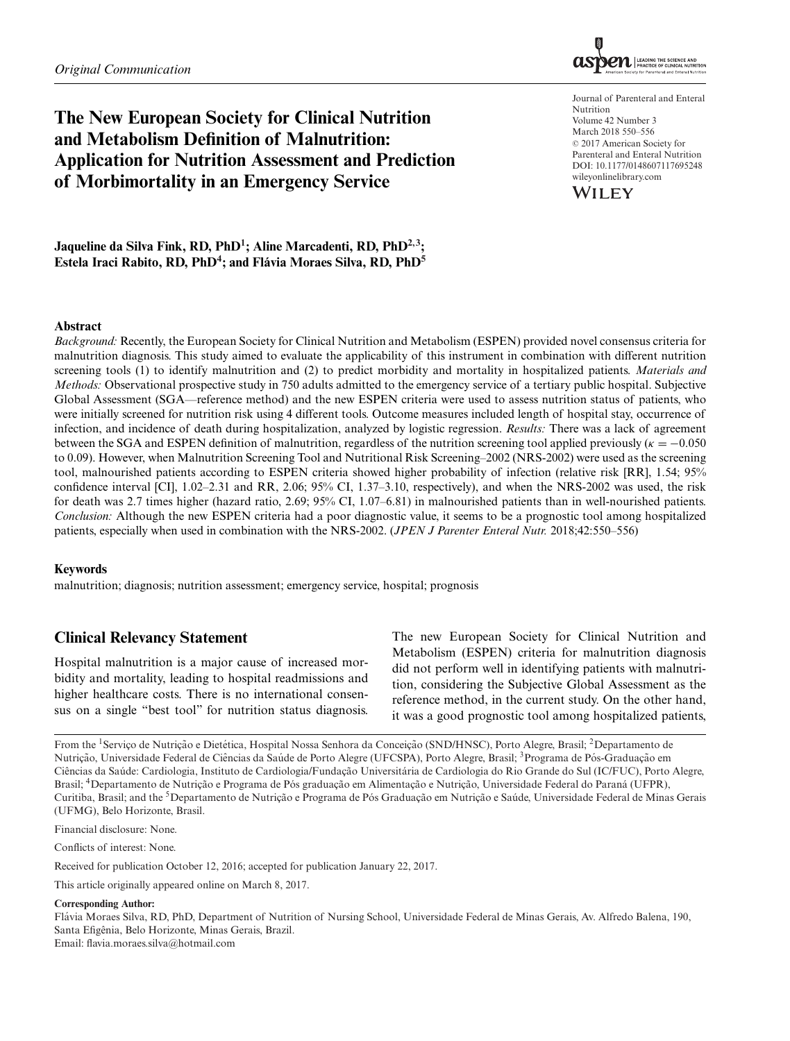# **The New European Society for Clinical Nutrition and Metabolism Definition of Malnutrition: Application for Nutrition Assessment and Prediction of Morbimortality in an Emergency Service**



Journal of Parenteral and Enteral Nutrition Volume 42 Number 3 March 2018 550–556  $© 2017$  American Society for Parenteral and Enteral Nutrition DOI: 10.1177/0148607117695248 wileyonlinelibrary.com



**Jaqueline da Silva Fink, RD, PhD1; Aline Marcadenti, RD, PhD2,3;** Estela Iraci Rabito, RD, PhD<sup>4</sup>; and Flávia Moraes Silva, RD, PhD<sup>5</sup>

### **Abstract**

*Background:* Recently, the European Society for Clinical Nutrition and Metabolism (ESPEN) provided novel consensus criteria for malnutrition diagnosis. This study aimed to evaluate the applicability of this instrument in combination with different nutrition screening tools (1) to identify malnutrition and (2) to predict morbidity and mortality in hospitalized patients. *Materials and Methods:* Observational prospective study in 750 adults admitted to the emergency service of a tertiary public hospital. Subjective Global Assessment (SGA—reference method) and the new ESPEN criteria were used to assess nutrition status of patients, who were initially screened for nutrition risk using 4 different tools. Outcome measures included length of hospital stay, occurrence of infection, and incidence of death during hospitalization, analyzed by logistic regression. *Results:* There was a lack of agreement between the SGA and ESPEN definition of malnutrition, regardless of the nutrition screening tool applied previously ( $\kappa = -0.050$ ) to 0.09). However, when Malnutrition Screening Tool and Nutritional Risk Screening–2002 (NRS-2002) were used as the screening tool, malnourished patients according to ESPEN criteria showed higher probability of infection (relative risk [RR], 1.54; 95% confidence interval [CI], 1.02–2.31 and RR, 2.06; 95% CI, 1.37–3.10, respectively), and when the NRS-2002 was used, the risk for death was 2.7 times higher (hazard ratio, 2.69; 95% CI, 1.07–6.81) in malnourished patients than in well-nourished patients. *Conclusion:* Although the new ESPEN criteria had a poor diagnostic value, it seems to be a prognostic tool among hospitalized patients, especially when used in combination with the NRS-2002. (*JPEN J Parenter Enteral Nutr.* 2018;42:550–556)

### **Keywords**

malnutrition; diagnosis; nutrition assessment; emergency service, hospital; prognosis

# **Clinical Relevancy Statement**

Hospital malnutrition is a major cause of increased morbidity and mortality, leading to hospital readmissions and higher healthcare costs. There is no international consensus on a single "best tool" for nutrition status diagnosis. The new European Society for Clinical Nutrition and Metabolism (ESPEN) criteria for malnutrition diagnosis did not perform well in identifying patients with malnutrition, considering the Subjective Global Assessment as the reference method, in the current study. On the other hand, it was a good prognostic tool among hospitalized patients,

From the <sup>1</sup>Serviço de Nutrição e Dietética, Hospital Nossa Senhora da Conceição (SND/HNSC), Porto Alegre, Brasil; <sup>2</sup>Departamento de Nutrição, Universidade Federal de Ciências da Saúde de Porto Alegre (UFCSPA), Porto Alegre, Brasil; <sup>3</sup>Programa de Pós-Graduação em Ciências da Saúde: Cardiologia, Instituto de Cardiologia/Fundação Universitária de Cardiologia do Rio Grande do Sul (IC/FUC), Porto Alegre, Brasil; <sup>4</sup>Departamento de Nutrição e Programa de Pós graduação em Alimentação e Nutrição, Universidade Federal do Paraná (UFPR), Curitiba, Brasil; and the <sup>5</sup>Departamento de Nutrição e Programa de Pós Graduação em Nutrição e Saúde, Universidade Federal de Minas Gerais (UFMG), Belo Horizonte, Brasil.

Financial disclosure: None.

Conflicts of interest: None.

Received for publication October 12, 2016; accepted for publication January 22, 2017.

This article originally appeared online on March 8, 2017.

#### **Corresponding Author:**

Flavia Moraes Silva, RD, PhD, Department of Nutrition of Nursing School, Universidade Federal de Minas Gerais, Av. Alfredo Balena, 190, ´ Santa Efigênia, Belo Horizonte, Minas Gerais, Brazil. Email: flavia.moraes.silva@hotmail.com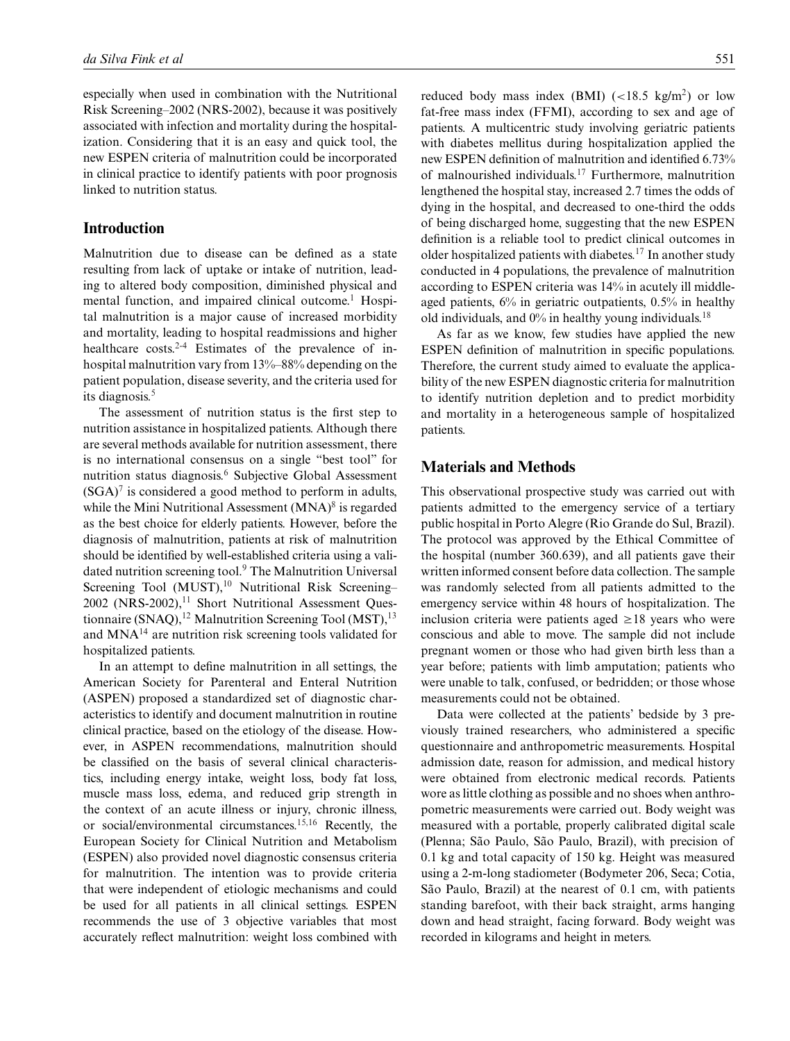especially when used in combination with the Nutritional Risk Screening–2002 (NRS-2002), because it was positively associated with infection and mortality during the hospitalization. Considering that it is an easy and quick tool, the new ESPEN criteria of malnutrition could be incorporated in clinical practice to identify patients with poor prognosis linked to nutrition status.

### **Introduction**

Malnutrition due to disease can be defined as a state resulting from lack of uptake or intake of nutrition, leading to altered body composition, diminished physical and mental function, and impaired clinical outcome.<sup>1</sup> Hospital malnutrition is a major cause of increased morbidity and mortality, leading to hospital readmissions and higher healthcare costs.<sup>2-4</sup> Estimates of the prevalence of inhospital malnutrition vary from 13%–88% depending on the patient population, disease severity, and the criteria used for its diagnosis.<sup>5</sup>

The assessment of nutrition status is the first step to nutrition assistance in hospitalized patients. Although there are several methods available for nutrition assessment, there is no international consensus on a single "best tool" for nutrition status diagnosis.6 Subjective Global Assessment  $(SGA)^7$  is considered a good method to perform in adults, while the Mini Nutritional Assessment  $(MNA)^8$  is regarded as the best choice for elderly patients. However, before the diagnosis of malnutrition, patients at risk of malnutrition should be identified by well-established criteria using a validated nutrition screening tool.<sup>9</sup> The Malnutrition Universal Screening Tool (MUST), $10$  Nutritional Risk Screening– 2002 (NRS-2002),<sup>11</sup> Short Nutritional Assessment Questionnaire (SNAQ),<sup>12</sup> Malnutrition Screening Tool (MST),<sup>13</sup> and MNA<sup>14</sup> are nutrition risk screening tools validated for hospitalized patients.

In an attempt to define malnutrition in all settings, the American Society for Parenteral and Enteral Nutrition (ASPEN) proposed a standardized set of diagnostic characteristics to identify and document malnutrition in routine clinical practice, based on the etiology of the disease. However, in ASPEN recommendations, malnutrition should be classified on the basis of several clinical characteristics, including energy intake, weight loss, body fat loss, muscle mass loss, edema, and reduced grip strength in the context of an acute illness or injury, chronic illness, or social/environmental circumstances.15,16 Recently, the European Society for Clinical Nutrition and Metabolism (ESPEN) also provided novel diagnostic consensus criteria for malnutrition. The intention was to provide criteria that were independent of etiologic mechanisms and could be used for all patients in all clinical settings. ESPEN recommends the use of 3 objective variables that most accurately reflect malnutrition: weight loss combined with reduced body mass index (BMI)  $\left($  <18.5 kg/m<sup>2</sup>) or low fat-free mass index (FFMI), according to sex and age of patients. A multicentric study involving geriatric patients with diabetes mellitus during hospitalization applied the new ESPEN definition of malnutrition and identified 6.73% of malnourished individuals.<sup>17</sup> Furthermore, malnutrition lengthened the hospital stay, increased 2.7 times the odds of dying in the hospital, and decreased to one-third the odds of being discharged home, suggesting that the new ESPEN definition is a reliable tool to predict clinical outcomes in older hospitalized patients with diabetes.<sup>17</sup> In another study conducted in 4 populations, the prevalence of malnutrition according to ESPEN criteria was 14% in acutely ill middle-

old individuals, and  $0\%$  in healthy young individuals.<sup>18</sup> As far as we know, few studies have applied the new ESPEN definition of malnutrition in specific populations. Therefore, the current study aimed to evaluate the applicability of the new ESPEN diagnostic criteria for malnutrition to identify nutrition depletion and to predict morbidity and mortality in a heterogeneous sample of hospitalized patients.

aged patients, 6% in geriatric outpatients, 0.5% in healthy

# **Materials and Methods**

This observational prospective study was carried out with patients admitted to the emergency service of a tertiary public hospital in Porto Alegre (Rio Grande do Sul, Brazil). The protocol was approved by the Ethical Committee of the hospital (number 360.639), and all patients gave their written informed consent before data collection. The sample was randomly selected from all patients admitted to the emergency service within 48 hours of hospitalization. The inclusion criteria were patients aged  $\geq 18$  years who were conscious and able to move. The sample did not include pregnant women or those who had given birth less than a year before; patients with limb amputation; patients who were unable to talk, confused, or bedridden; or those whose measurements could not be obtained.

Data were collected at the patients' bedside by 3 previously trained researchers, who administered a specific questionnaire and anthropometric measurements. Hospital admission date, reason for admission, and medical history were obtained from electronic medical records. Patients wore as little clothing as possible and no shoes when anthropometric measurements were carried out. Body weight was measured with a portable, properly calibrated digital scale (Plenna; São Paulo, São Paulo, Brazil), with precision of 0.1 kg and total capacity of 150 kg. Height was measured using a 2-m-long stadiometer (Bodymeter 206, Seca; Cotia, São Paulo, Brazil) at the nearest of 0.1 cm, with patients standing barefoot, with their back straight, arms hanging down and head straight, facing forward. Body weight was recorded in kilograms and height in meters.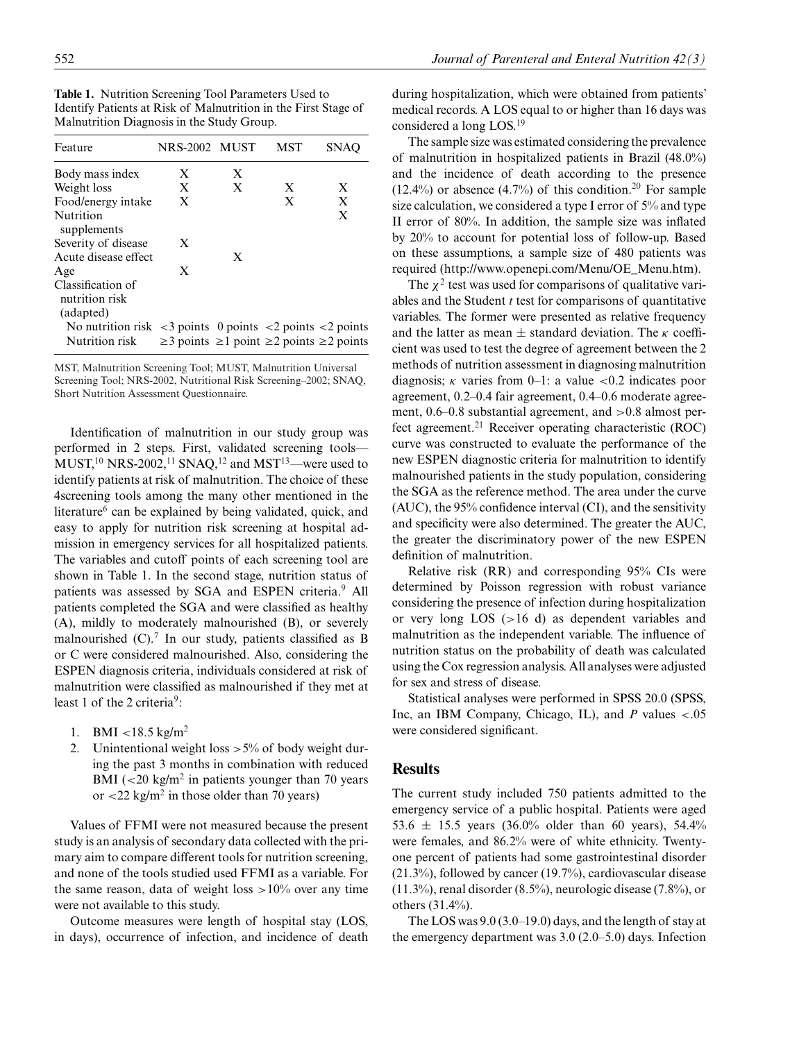**Table 1.** Nutrition Screening Tool Parameters Used to Identify Patients at Risk of Malnutrition in the First Stage of Malnutrition Diagnosis in the Study Group.

| Feature                                                                                            | NRS-2002 MUST |   | MST                                                            | <b>SNAC</b> |
|----------------------------------------------------------------------------------------------------|---------------|---|----------------------------------------------------------------|-------------|
| Body mass index                                                                                    | X             | X |                                                                |             |
| Weight loss                                                                                        | X             | X | X                                                              | X           |
| Food/energy intake                                                                                 | X             |   | X                                                              | X           |
| Nutrition<br>supplements                                                                           |               |   |                                                                | X           |
| Severity of disease                                                                                | X             |   |                                                                |             |
| Acute disease effect                                                                               |               | X |                                                                |             |
| Age                                                                                                | X             |   |                                                                |             |
| Classification of<br>nutrition risk<br>(adapted)                                                   |               |   |                                                                |             |
| No nutrition risk $\langle 3 \rangle$ points $\langle 2 \rangle$ points $\langle 2 \rangle$ points |               |   |                                                                |             |
| Nutrition risk                                                                                     |               |   | $\geq$ 3 points $\geq$ 1 point $\geq$ 2 points $\geq$ 2 points |             |

MST, Malnutrition Screening Tool; MUST, Malnutrition Universal Screening Tool; NRS-2002, Nutritional Risk Screening–2002; SNAQ, Short Nutrition Assessment Questionnaire.

Identification of malnutrition in our study group was performed in 2 steps. First, validated screening tools—  $MUST<sup>10</sup> NRS-2002<sup>11</sup> SNAQ<sup>12</sup>$  and  $MST<sup>13</sup>$ —were used to identify patients at risk of malnutrition. The choice of these 4screening tools among the many other mentioned in the literature $6$  can be explained by being validated, quick, and easy to apply for nutrition risk screening at hospital admission in emergency services for all hospitalized patients. The variables and cutoff points of each screening tool are shown in Table 1. In the second stage, nutrition status of patients was assessed by SGA and ESPEN criteria.<sup>9</sup> All patients completed the SGA and were classified as healthy (A), mildly to moderately malnourished (B), or severely malnourished  $(C)$ .<sup>7</sup> In our study, patients classified as B or C were considered malnourished. Also, considering the ESPEN diagnosis criteria, individuals considered at risk of malnutrition were classified as malnourished if they met at least 1 of the 2 criteria<sup>9</sup>:

- 1. BMI <18.5 kg/m<sup>2</sup>
- 2. Unintentional weight loss  $>5\%$  of body weight during the past 3 months in combination with reduced BMI ( $\lt 20$  kg/m<sup>2</sup> in patients younger than 70 years or  $\langle 22 \text{ kg/m}^2 \rangle$  in those older than 70 years)

Values of FFMI were not measured because the present study is an analysis of secondary data collected with the primary aim to compare different tools for nutrition screening, and none of the tools studied used FFMI as a variable. For the same reason, data of weight loss  $>10\%$  over any time were not available to this study.

Outcome measures were length of hospital stay (LOS, in days), occurrence of infection, and incidence of death during hospitalization, which were obtained from patients' medical records. A LOS equal to or higher than 16 days was considered a long LOS.<sup>19</sup>

The sample size was estimated considering the prevalence of malnutrition in hospitalized patients in Brazil (48.0%) and the incidence of death according to the presence  $(12.4\%)$  or absence  $(4.7\%)$  of this condition.<sup>20</sup> For sample size calculation, we considered a type I error of 5% and type II error of 80%. In addition, the sample size was inflated by 20% to account for potential loss of follow-up. Based on these assumptions, a sample size of 480 patients was required (http://www.openepi.com/Menu/OE\_Menu.htm).

The  $\chi^2$  test was used for comparisons of qualitative variables and the Student *t* test for comparisons of quantitative variables. The former were presented as relative frequency and the latter as mean  $\pm$  standard deviation. The  $\kappa$  coefficient was used to test the degree of agreement between the 2 methods of nutrition assessment in diagnosing malnutrition diagnosis;  $\kappa$  varies from 0–1: a value <0.2 indicates poor agreement, 0.2–0.4 fair agreement, 0.4–0.6 moderate agreement, 0.6–0.8 substantial agreement, and >0.8 almost perfect agreement.<sup>21</sup> Receiver operating characteristic (ROC) curve was constructed to evaluate the performance of the new ESPEN diagnostic criteria for malnutrition to identify malnourished patients in the study population, considering the SGA as the reference method. The area under the curve (AUC), the 95% confidence interval (CI), and the sensitivity and specificity were also determined. The greater the AUC, the greater the discriminatory power of the new ESPEN definition of malnutrition.

Relative risk (RR) and corresponding 95% CIs were determined by Poisson regression with robust variance considering the presence of infection during hospitalization or very long LOS (>16 d) as dependent variables and malnutrition as the independent variable. The influence of nutrition status on the probability of death was calculated using the Cox regression analysis. All analyses were adjusted for sex and stress of disease.

Statistical analyses were performed in SPSS 20.0 (SPSS, Inc, an IBM Company, Chicago, IL), and *P* values <.05 were considered significant.

# **Results**

The current study included 750 patients admitted to the emergency service of a public hospital. Patients were aged 53.6  $\pm$  15.5 years (36.0% older than 60 years), 54.4% were females, and 86.2% were of white ethnicity. Twentyone percent of patients had some gastrointestinal disorder (21.3%), followed by cancer (19.7%), cardiovascular disease (11.3%), renal disorder (8.5%), neurologic disease (7.8%), or others (31.4%).

The LOS was 9.0 (3.0–19.0) days, and the length of stay at the emergency department was 3.0 (2.0–5.0) days. Infection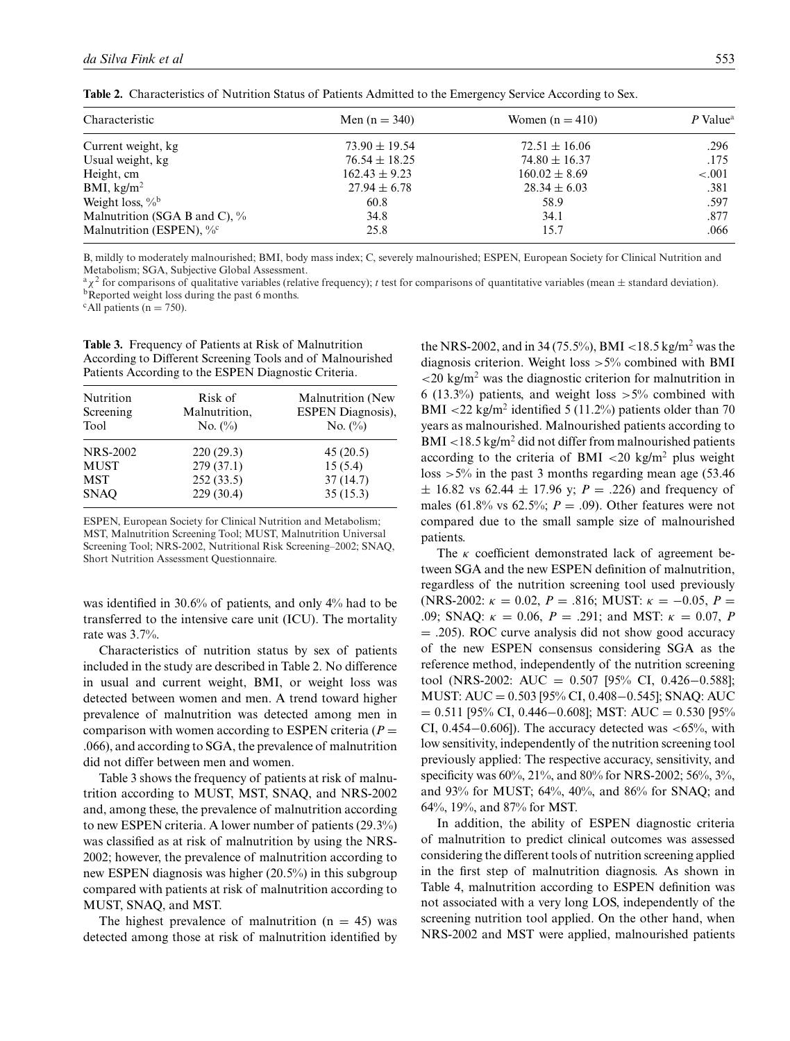| Men $(n = 340)$   | Women $(n = 410)$ | $P$ Value <sup>a</sup> |
|-------------------|-------------------|------------------------|
| $73.90 \pm 19.54$ | $72.51 \pm 16.06$ | .296                   |
| $76.54 \pm 18.25$ | $74.80 \pm 16.37$ | .175                   |
| $162.43 \pm 9.23$ | $160.02 \pm 8.69$ | $-.001$                |
| $27.94 \pm 6.78$  | $28.34 \pm 6.03$  | .381                   |
| 60.8              | 58.9              | .597                   |
| 34.8              | 34.1              | .877                   |
| 25.8              | 15.7              | .066                   |
|                   |                   |                        |

**Table 2.** Characteristics of Nutrition Status of Patients Admitted to the Emergency Service According to Sex.

B, mildly to moderately malnourished; BMI, body mass index; C, severely malnourished; ESPEN, European Society for Clinical Nutrition and Metabolism; SGA, Subjective Global Assessment.

 ${}^{\text{a}}\chi^2$  for comparisons of qualitative variables (relative frequency); *t* test for comparisons of quantitative variables (mean  $\pm$  standard deviation). bReported weight loss during the past 6 months.

 $c$ All patients (n = 750).

**Table 3.** Frequency of Patients at Risk of Malnutrition According to Different Screening Tools and of Malnourished Patients According to the ESPEN Diagnostic Criteria.

| Nutrition<br>Screening<br>Tool | Risk of<br>Malnutrition,<br>No. $(\%)$ | Malnutrition (New<br><b>ESPEN Diagnosis),</b><br>No. $(\%)$ |
|--------------------------------|----------------------------------------|-------------------------------------------------------------|
| <b>NRS-2002</b>                | 220(29.3)                              | 45(20.5)                                                    |
| <b>MUST</b>                    | 279(37.1)                              | 15(5.4)                                                     |
| <b>MST</b>                     | 252(33.5)                              | 37(14.7)                                                    |
| <b>SNAO</b>                    | 229(30.4)                              | 35(15.3)                                                    |

ESPEN, European Society for Clinical Nutrition and Metabolism; MST, Malnutrition Screening Tool; MUST, Malnutrition Universal Screening Tool; NRS-2002, Nutritional Risk Screening–2002; SNAQ, Short Nutrition Assessment Questionnaire.

was identified in 30.6% of patients, and only 4% had to be transferred to the intensive care unit (ICU). The mortality rate was 3.7%.

Characteristics of nutrition status by sex of patients included in the study are described in Table 2. No difference in usual and current weight, BMI, or weight loss was detected between women and men. A trend toward higher prevalence of malnutrition was detected among men in comparison with women according to ESPEN criteria ( $P =$ .066), and according to SGA, the prevalence of malnutrition did not differ between men and women.

Table 3 shows the frequency of patients at risk of malnutrition according to MUST, MST, SNAQ, and NRS-2002 and, among these, the prevalence of malnutrition according to new ESPEN criteria. A lower number of patients (29.3%) was classified as at risk of malnutrition by using the NRS-2002; however, the prevalence of malnutrition according to new ESPEN diagnosis was higher (20.5%) in this subgroup compared with patients at risk of malnutrition according to MUST, SNAQ, and MST.

The highest prevalence of malnutrition  $(n = 45)$  was detected among those at risk of malnutrition identified by the NRS-2002, and in 34 (75.5%), BMI <18.5 kg/m<sup>2</sup> was the diagnosis criterion. Weight loss  $>5\%$  combined with BMI  $\langle$  20 kg/m<sup>2</sup> was the diagnostic criterion for malnutrition in 6 (13.3%) patients, and weight loss  $>5\%$  combined with BMI  $\langle 22 \text{ kg/m}^2 \rangle$  identified 5 (11.2%) patients older than 70 years as malnourished. Malnourished patients according to BMI <18.5 kg/m<sup>2</sup> did not differ from malnourished patients according to the criteria of BMI  $\langle 20 \text{ kg/m}^2 \rangle$  plus weight loss  $>5\%$  in the past 3 months regarding mean age (53.46)  $\pm$  16.82 vs 62.44  $\pm$  17.96 y; *P* = .226) and frequency of males (61.8% vs 62.5%;  $P = .09$ ). Other features were not compared due to the small sample size of malnourished patients.

The  $\kappa$  coefficient demonstrated lack of agreement between SGA and the new ESPEN definition of malnutrition, regardless of the nutrition screening tool used previously (NRS-2002:  $\kappa = 0.02$ ,  $P = .816$ ; MUST:  $\kappa = -0.05$ ,  $P =$ .09; SNAQ:  $\kappa = 0.06$ ,  $P = .291$ ; and MST:  $\kappa = 0.07$ , P = .205). ROC curve analysis did not show good accuracy of the new ESPEN consensus considering SGA as the reference method, independently of the nutrition screening tool (NRS-2002: AUC = 0.507 [95% CI, 0.426−0.588]; MUST: AUC = 0.503 [95% CI, 0.408−0.545]; SNAQ: AUC  $= 0.511$  [95% CI, 0.446–0.608]; MST: AUC = 0.530 [95% CI,  $0.454-0.606$ ]). The accuracy detected was <65%, with low sensitivity, independently of the nutrition screening tool previously applied: The respective accuracy, sensitivity, and specificity was 60%, 21%, and 80% for NRS-2002; 56%, 3%, and 93% for MUST; 64%, 40%, and 86% for SNAQ; and 64%, 19%, and 87% for MST.

In addition, the ability of ESPEN diagnostic criteria of malnutrition to predict clinical outcomes was assessed considering the different tools of nutrition screening applied in the first step of malnutrition diagnosis. As shown in Table 4, malnutrition according to ESPEN definition was not associated with a very long LOS, independently of the screening nutrition tool applied. On the other hand, when NRS-2002 and MST were applied, malnourished patients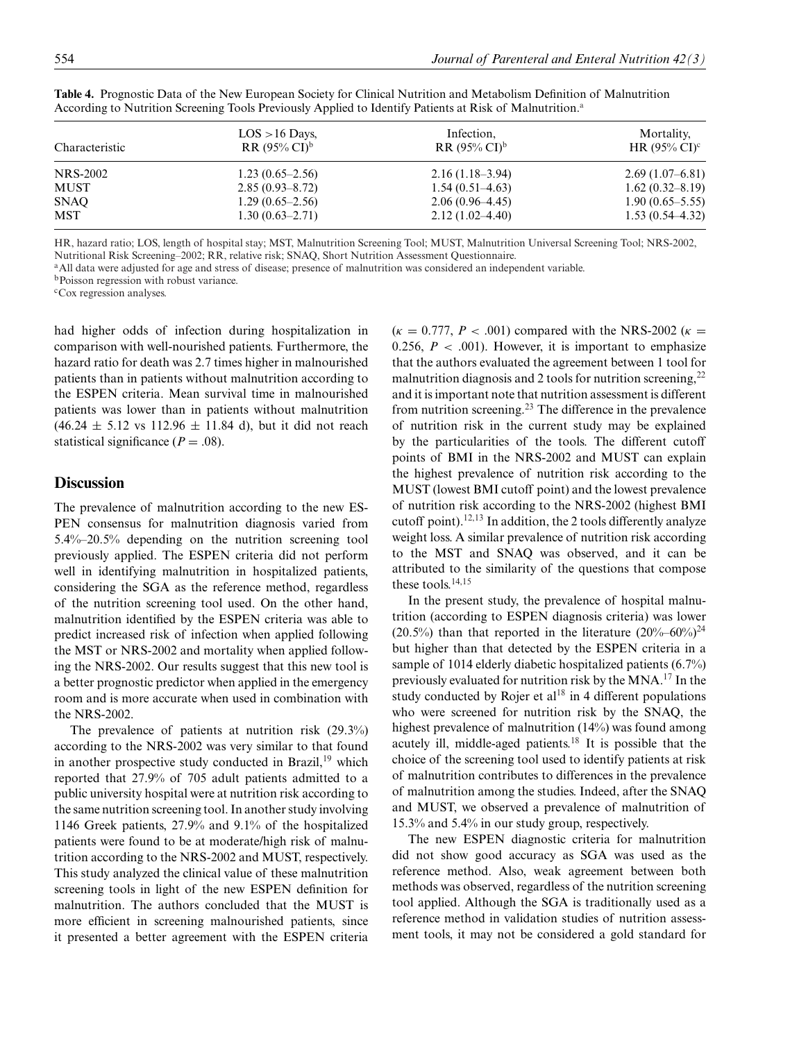| Characteristic | $LOS > 16$ Days,<br>$RR(95\% CI)^{b}$ | Infection,<br>$RR(95\% CI)^b$ | Mortality,<br>HR $(95\% \text{ CI})^c$ |
|----------------|---------------------------------------|-------------------------------|----------------------------------------|
| NRS-2002       | $1.23(0.65-2.56)$                     | $2.16(1.18-3.94)$             | $2.69(1.07-6.81)$                      |
| MUST           | $2.85(0.93 - 8.72)$                   | $1.54(0.51-4.63)$             | $1.62(0.32 - 8.19)$                    |
| SNAQ           | $1.29(0.65-2.56)$                     | $2.06(0.96-4.45)$             | $1.90(0.65 - 5.55)$                    |
| MST            | $1.30(0.63-2.71)$                     | $2.12(1.02 - 4.40)$           | $1.53(0.54 - 4.32)$                    |

**Table 4.** Prognostic Data of the New European Society for Clinical Nutrition and Metabolism Definition of Malnutrition According to Nutrition Screening Tools Previously Applied to Identify Patients at Risk of Malnutrition.<sup>a</sup>

HR, hazard ratio; LOS, length of hospital stay; MST, Malnutrition Screening Tool; MUST, Malnutrition Universal Screening Tool; NRS-2002, Nutritional Risk Screening–2002; RR, relative risk; SNAQ, Short Nutrition Assessment Questionnaire.

<sup>a</sup>All data were adjusted for age and stress of disease; presence of malnutrition was considered an independent variable.

bPoisson regression with robust variance.

cCox regression analyses.

had higher odds of infection during hospitalization in comparison with well-nourished patients. Furthermore, the hazard ratio for death was 2.7 times higher in malnourished patients than in patients without malnutrition according to the ESPEN criteria. Mean survival time in malnourished patients was lower than in patients without malnutrition  $(46.24 \pm 5.12 \text{ vs } 112.96 \pm 11.84 \text{ d})$ , but it did not reach statistical significance  $(P = .08)$ .

# **Discussion**

The prevalence of malnutrition according to the new ES-PEN consensus for malnutrition diagnosis varied from 5.4%–20.5% depending on the nutrition screening tool previously applied. The ESPEN criteria did not perform well in identifying malnutrition in hospitalized patients, considering the SGA as the reference method, regardless of the nutrition screening tool used. On the other hand, malnutrition identified by the ESPEN criteria was able to predict increased risk of infection when applied following the MST or NRS-2002 and mortality when applied following the NRS-2002. Our results suggest that this new tool is a better prognostic predictor when applied in the emergency room and is more accurate when used in combination with the NRS-2002.

The prevalence of patients at nutrition risk (29.3%) according to the NRS-2002 was very similar to that found in another prospective study conducted in Brazil,<sup>19</sup> which reported that 27.9% of 705 adult patients admitted to a public university hospital were at nutrition risk according to the same nutrition screening tool. In another study involving 1146 Greek patients, 27.9% and 9.1% of the hospitalized patients were found to be at moderate/high risk of malnutrition according to the NRS-2002 and MUST, respectively. This study analyzed the clinical value of these malnutrition screening tools in light of the new ESPEN definition for malnutrition. The authors concluded that the MUST is more efficient in screening malnourished patients, since it presented a better agreement with the ESPEN criteria  $(\kappa = 0.777, P < .001)$  compared with the NRS-2002 ( $\kappa =$ 0.256,  $P < .001$ ). However, it is important to emphasize that the authors evaluated the agreement between 1 tool for malnutrition diagnosis and 2 tools for nutrition screening,  $2^2$ and it is important note that nutrition assessment is different from nutrition screening.<sup>23</sup> The difference in the prevalence of nutrition risk in the current study may be explained by the particularities of the tools. The different cutoff points of BMI in the NRS-2002 and MUST can explain the highest prevalence of nutrition risk according to the MUST (lowest BMI cutoff point) and the lowest prevalence of nutrition risk according to the NRS-2002 (highest BMI cutoff point).<sup>12,13</sup> In addition, the 2 tools differently analyze weight loss. A similar prevalence of nutrition risk according to the MST and SNAQ was observed, and it can be attributed to the similarity of the questions that compose these tools.<sup>14,15</sup>

In the present study, the prevalence of hospital malnutrition (according to ESPEN diagnosis criteria) was lower (20.5%) than that reported in the literature  $(20\%-60\%)^{24}$ but higher than that detected by the ESPEN criteria in a sample of 1014 elderly diabetic hospitalized patients (6.7%) previously evaluated for nutrition risk by the MNA.<sup>17</sup> In the study conducted by Rojer et  $al^{18}$  in 4 different populations who were screened for nutrition risk by the SNAQ, the highest prevalence of malnutrition (14%) was found among acutely ill, middle-aged patients.<sup>18</sup> It is possible that the choice of the screening tool used to identify patients at risk of malnutrition contributes to differences in the prevalence of malnutrition among the studies. Indeed, after the SNAQ and MUST, we observed a prevalence of malnutrition of 15.3% and 5.4% in our study group, respectively.

The new ESPEN diagnostic criteria for malnutrition did not show good accuracy as SGA was used as the reference method. Also, weak agreement between both methods was observed, regardless of the nutrition screening tool applied. Although the SGA is traditionally used as a reference method in validation studies of nutrition assessment tools, it may not be considered a gold standard for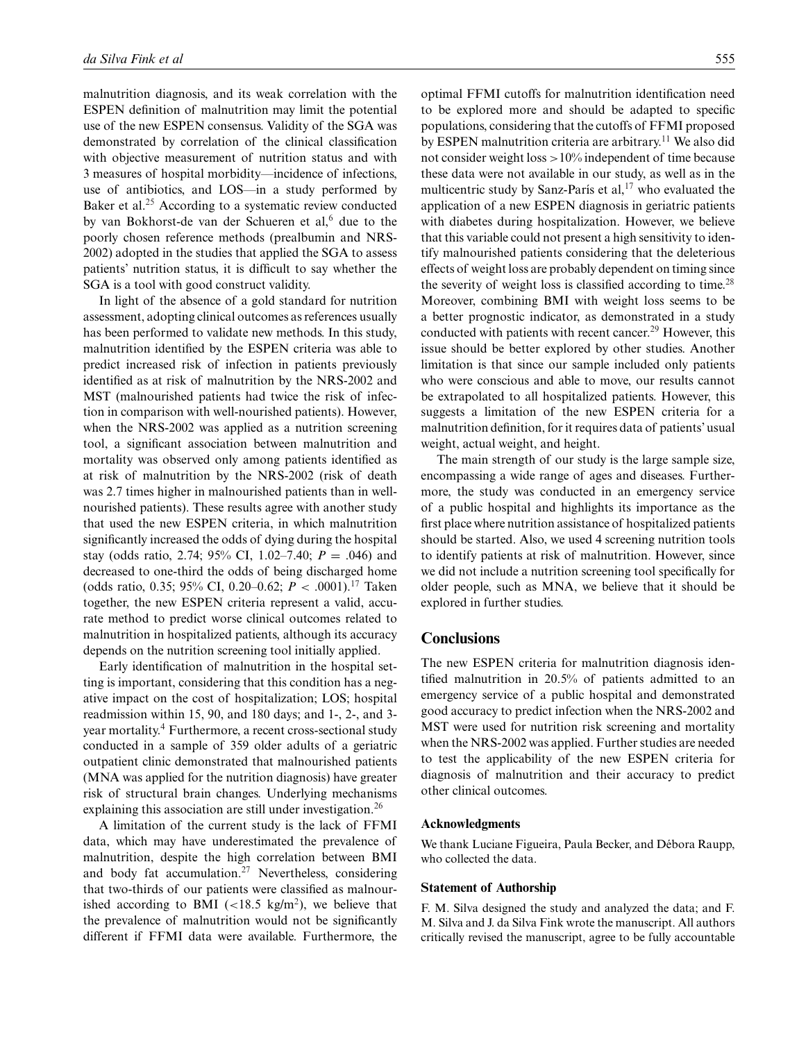malnutrition diagnosis, and its weak correlation with the ESPEN definition of malnutrition may limit the potential use of the new ESPEN consensus. Validity of the SGA was demonstrated by correlation of the clinical classification with objective measurement of nutrition status and with 3 measures of hospital morbidity—incidence of infections, use of antibiotics, and LOS—in a study performed by Baker et al.<sup>25</sup> According to a systematic review conducted by van Bokhorst-de van der Schueren et al,<sup>6</sup> due to the poorly chosen reference methods (prealbumin and NRS-2002) adopted in the studies that applied the SGA to assess patients' nutrition status, it is difficult to say whether the SGA is a tool with good construct validity.

In light of the absence of a gold standard for nutrition assessment, adopting clinical outcomes as references usually has been performed to validate new methods. In this study, malnutrition identified by the ESPEN criteria was able to predict increased risk of infection in patients previously identified as at risk of malnutrition by the NRS-2002 and MST (malnourished patients had twice the risk of infection in comparison with well-nourished patients). However, when the NRS-2002 was applied as a nutrition screening tool, a significant association between malnutrition and mortality was observed only among patients identified as at risk of malnutrition by the NRS-2002 (risk of death was 2.7 times higher in malnourished patients than in wellnourished patients). These results agree with another study that used the new ESPEN criteria, in which malnutrition significantly increased the odds of dying during the hospital stay (odds ratio, 2.74; 95% CI, 1.02–7.40;  $P = .046$ ) and decreased to one-third the odds of being discharged home (odds ratio, 0.35; 95% CI, 0.20–0.62; *P* < .0001).17 Taken together, the new ESPEN criteria represent a valid, accurate method to predict worse clinical outcomes related to malnutrition in hospitalized patients, although its accuracy depends on the nutrition screening tool initially applied.

Early identification of malnutrition in the hospital setting is important, considering that this condition has a negative impact on the cost of hospitalization; LOS; hospital readmission within 15, 90, and 180 days; and 1-, 2-, and 3 year mortality.<sup>4</sup> Furthermore, a recent cross-sectional study conducted in a sample of 359 older adults of a geriatric outpatient clinic demonstrated that malnourished patients (MNA was applied for the nutrition diagnosis) have greater risk of structural brain changes. Underlying mechanisms explaining this association are still under investigation.<sup>26</sup>

A limitation of the current study is the lack of FFMI data, which may have underestimated the prevalence of malnutrition, despite the high correlation between BMI and body fat accumulation.<sup>27</sup> Nevertheless, considering that two-thirds of our patients were classified as malnourished according to BMI  $\left($  <18.5 kg/m<sup>2</sup>), we believe that the prevalence of malnutrition would not be significantly different if FFMI data were available. Furthermore, the optimal FFMI cutoffs for malnutrition identification need to be explored more and should be adapted to specific populations, considering that the cutoffs of FFMI proposed by ESPEN malnutrition criteria are arbitrary.<sup>11</sup> We also did not consider weight loss >10% independent of time because these data were not available in our study, as well as in the multicentric study by Sanz-París et al, $17$  who evaluated the application of a new ESPEN diagnosis in geriatric patients with diabetes during hospitalization. However, we believe that this variable could not present a high sensitivity to identify malnourished patients considering that the deleterious effects of weight loss are probably dependent on timing since the severity of weight loss is classified according to time.<sup>28</sup> Moreover, combining BMI with weight loss seems to be a better prognostic indicator, as demonstrated in a study conducted with patients with recent cancer.<sup>29</sup> However, this issue should be better explored by other studies. Another limitation is that since our sample included only patients who were conscious and able to move, our results cannot be extrapolated to all hospitalized patients. However, this suggests a limitation of the new ESPEN criteria for a malnutrition definition, for it requires data of patients' usual weight, actual weight, and height.

The main strength of our study is the large sample size, encompassing a wide range of ages and diseases. Furthermore, the study was conducted in an emergency service of a public hospital and highlights its importance as the first place where nutrition assistance of hospitalized patients should be started. Also, we used 4 screening nutrition tools to identify patients at risk of malnutrition. However, since we did not include a nutrition screening tool specifically for older people, such as MNA, we believe that it should be explored in further studies.

### **Conclusions**

The new ESPEN criteria for malnutrition diagnosis identified malnutrition in 20.5% of patients admitted to an emergency service of a public hospital and demonstrated good accuracy to predict infection when the NRS-2002 and MST were used for nutrition risk screening and mortality when the NRS-2002 was applied. Further studies are needed to test the applicability of the new ESPEN criteria for diagnosis of malnutrition and their accuracy to predict other clinical outcomes.

#### **Acknowledgments**

We thank Luciane Figueira, Paula Becker, and Débora Raupp, who collected the data.

#### **Statement of Authorship**

F. M. Silva designed the study and analyzed the data; and F. M. Silva and J. da Silva Fink wrote the manuscript. All authors critically revised the manuscript, agree to be fully accountable